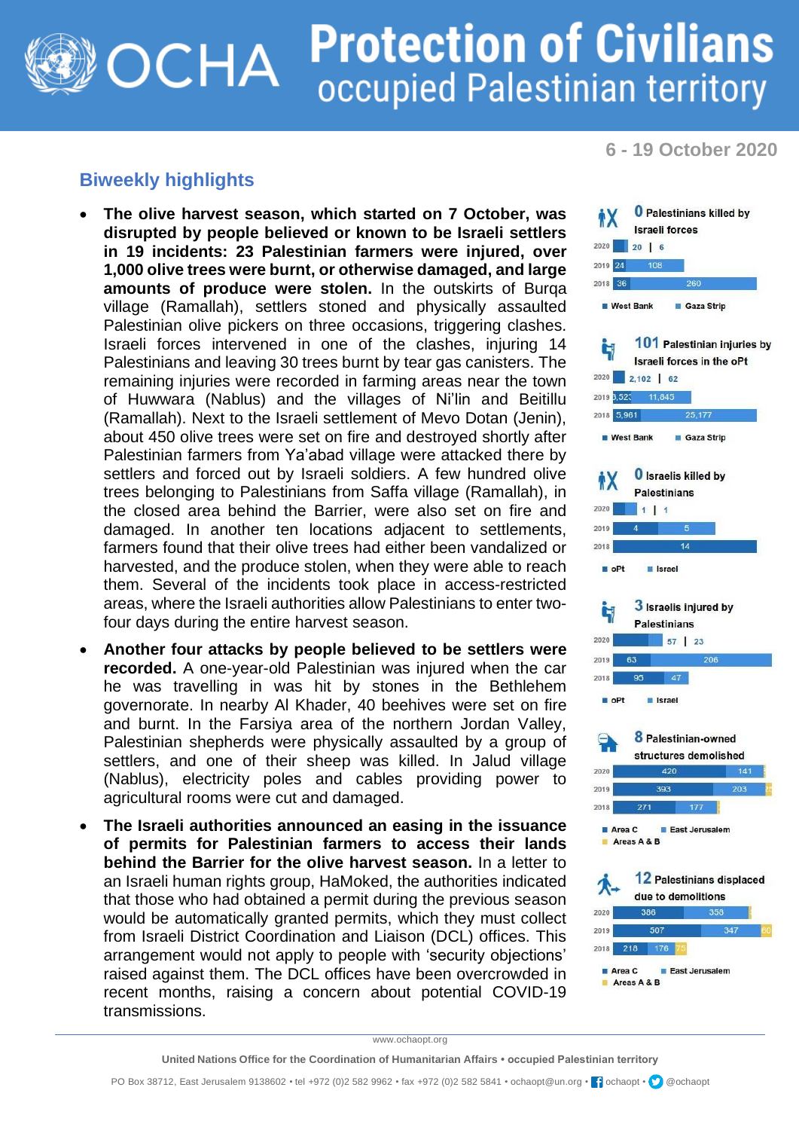## **Protection of Civilians** OCHA occupied Palestinian territory

**6 - 19 October 2020**

## **Biweekly highlights**

- **The olive harvest season, which started on 7 October, was disrupted by people believed or known to be Israeli settlers in 19 incidents: 23 Palestinian farmers were injured, over 1,000 olive trees were burnt, or otherwise damaged, and large amounts of produce were stolen.** In the outskirts of Burqa village (Ramallah), settlers stoned and physically assaulted Palestinian olive pickers on three occasions, triggering clashes. Israeli forces intervened in one of the clashes, injuring 14 Palestinians and leaving 30 trees burnt by tear gas canisters. The remaining injuries were recorded in farming areas near the town of Huwwara (Nablus) and the villages of Ni'lin and Beitillu (Ramallah). Next to the Israeli settlement of Mevo Dotan (Jenin), about 450 olive trees were set on fire and destroyed shortly after Palestinian farmers from Ya'abad village were attacked there by settlers and forced out by Israeli soldiers. A few hundred olive trees belonging to Palestinians from Saffa village (Ramallah), in the closed area behind the Barrier, were also set on fire and damaged. In another ten locations adjacent to settlements, farmers found that their olive trees had either been vandalized or harvested, and the produce stolen, when they were able to reach them. Several of the incidents took place in access-restricted areas, where the Israeli authorities allow Palestinians to enter twofour days during the entire harvest season.
- **Another four attacks by people believed to be settlers were recorded.** A one-year-old Palestinian was injured when the car he was travelling in was hit by stones in the Bethlehem governorate. In nearby Al Khader, 40 beehives were set on fire and burnt. In the Farsiya area of the northern Jordan Valley, Palestinian shepherds were physically assaulted by a group of settlers, and one of their sheep was killed. In Jalud village (Nablus), electricity poles and cables providing power to agricultural rooms were cut and damaged.
- **The Israeli authorities announced an easing in the issuance of permits for Palestinian farmers to access their lands behind the Barrier for the olive harvest season.** In a letter to an Israeli human rights group, HaMoked, the authorities indicated that those who had obtained a permit during the previous season would be automatically granted permits, which they must collect from Israeli District Coordination and Liaison (DCL) offices. This arrangement would not apply to people with 'security objections' raised against them. The DCL offices have been overcrowded in recent months, raising a concern about potential COVID-19 transmissions.



www.ochaopt.org

**United Nations Office for the Coordination of Humanitarian Affairs • occupied Palestinian territory**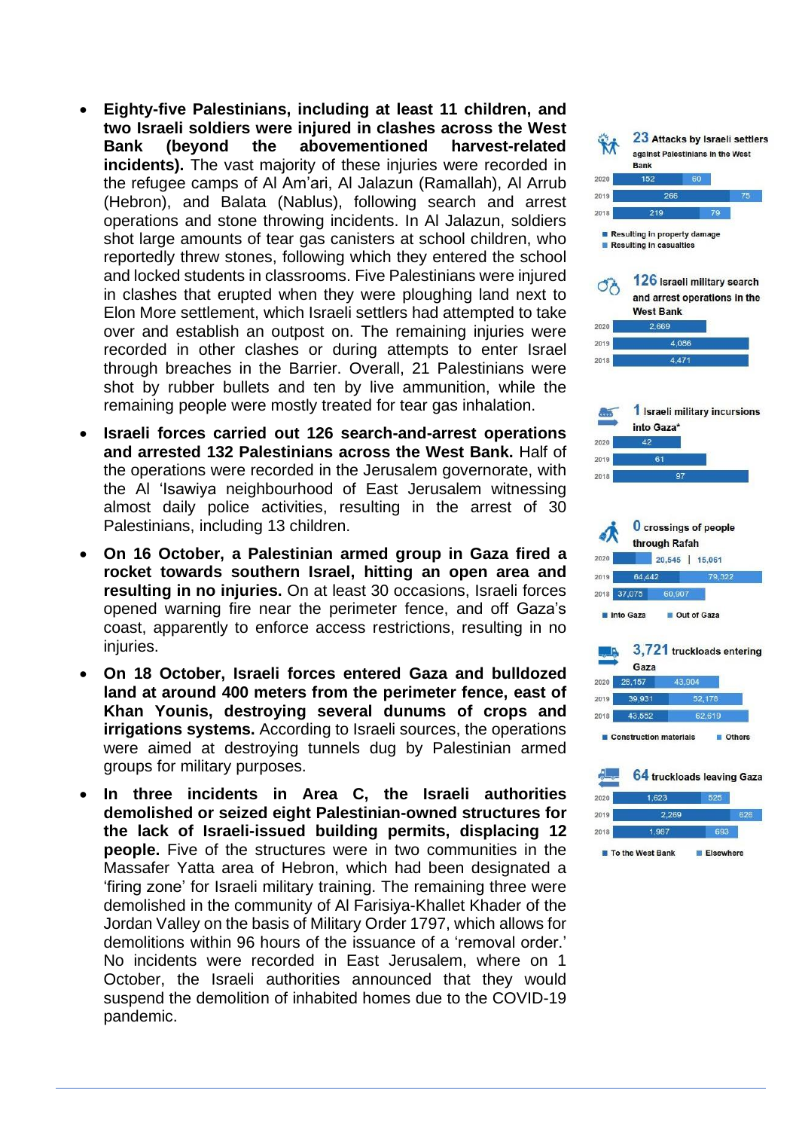- **Eighty -five Palestinians, including at least 11 children, and two Israeli soldiers were injured in clashes across the West Bank (beyond the abovementioned harvest-related incidents).** The vast majority of these injuries were recorded in the refugee camps of Al Am'ari, Al Jalazun (Ramallah), Al Arrub (Hebron), and Balata (Nablus), following search and arrest operations and stone throwing incidents. In Al Jalazun, soldiers shot large amounts of tear gas canisters at school children, who reportedly threw stones, following which they entered the school and locked students in classrooms. Five Palestinians were injured in clashes that erupted when they were ploughing land next to Elon More settlement, which Israeli settlers had attempted to take over and establish an outpost on. The remaining injuries were recorded in other clashes or during attempts to enter Israel through breaches in the Barrier. Overall, 21 Palestinians were shot by rubber bullets and ten by live ammunition, while the remaining people were mostly treated for tear gas inhalation.
- **Israeli forces carried out 126 search -and -arrest operations and arrested 132 Palestinians across the West Bank.** Half of the operations were recorded in the Jerusalem governorate, with the Al 'Isawiya neighbourhood of East Jerusalem witnessing almost daily police activities, resulting in the arrest of 30 Palestinians, including 13 children.
- **On 16 October, a Palestinian armed group in Gaza fired a rocket towards southern Israel, hitting an open area and resulting in no injuries.** On at least 30 occasions, Israeli forces opened warning fire near the perimeter fence, and off Gaza's coast, apparently to enforce access restrictions, resulting in no injuries.
- **On 18 October, Israeli forces entered Gaza and bulldozed land at around 400 meters from the perimeter fence, east of Khan Younis, destroying several dunums of crops and irrigations systems.** According to Israeli sources, the operations were aimed at destroying tunnels dug by Palestinian armed groups for military purposes.
- **In three incidents in Area C, the Israeli authorities demolished or seized eight Palestinian -owned structures for the lack of Israeli -issued building permits, displacing 12 people.** Five of the structures were in two communities in the Massafer Yatta area of Hebron, which had been designated a 'firing zone' for Israeli military training. The remaining three were demolished in the community of Al Farisiya -Khallet Khader of the Jordan Valley on the basis of Military Order 1797, which allows for demolitions within 96 hours of the issuance of a 'removal order.' No incidents were recorded in East Jerusalem, where on 1 October, the Israeli authorities announced that they would suspend the demolition of inhabited homes due to the COVID -19 pandemic.

![](_page_1_Figure_5.jpeg)